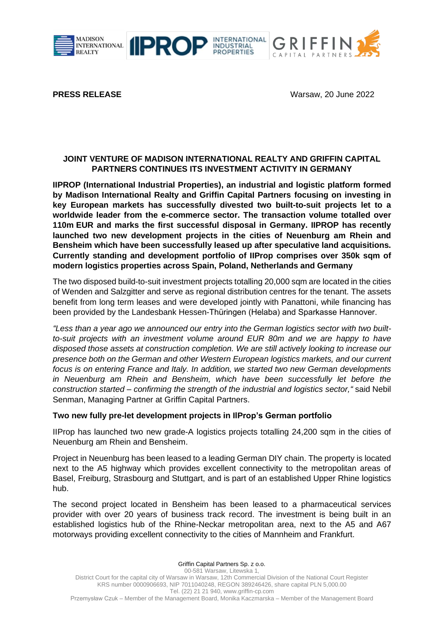

**IIPRO** 



**PRESS RELEASE Warsaw, 20 June 2022** 

### **JOINT VENTURE OF MADISON INTERNATIONAL REALTY AND GRIFFIN CAPITAL PARTNERS CONTINUES ITS INVESTMENT ACTIVITY IN GERMANY**

INDUSTRIAL<br>PROPERTIES

**IIPROP (International Industrial Properties), an industrial and logistic platform formed by Madison International Realty and Griffin Capital Partners focusing on investing in key European markets has successfully divested two built-to-suit projects let to a worldwide leader from the e-commerce sector. The transaction volume totalled over 110m EUR and marks the first successful disposal in Germany. IIPROP has recently launched two new development projects in the cities of Neuenburg am Rhein and Bensheim which have been successfully leased up after speculative land acquisitions. Currently standing and development portfolio of IIProp comprises over 350k sqm of modern logistics properties across Spain, Poland, Netherlands and Germany**

The two disposed build-to-suit investment projects totalling 20,000 sqm are located in the cities of Wenden and Salzgitter and serve as regional distribution centres for the tenant. The assets benefit from long term leases and were developed jointly with Panattoni, while financing has been provided by the Landesbank Hessen-Thüringen (Helaba) and Sparkasse Hannover.

*"Less than a year ago we announced our entry into the German logistics sector with two builtto-suit projects with an investment volume around EUR 80m and we are happy to have disposed those assets at construction completion. We are still actively looking to increase our presence both on the German and other Western European logistics markets, and our current focus is on entering France and Italy. In addition, we started two new German developments in Neuenburg am Rhein and Bensheim, which have been successfully let before the construction started – confirming the strength of the industrial and logistics sector,"* said Nebil Senman, Managing Partner at Griffin Capital Partners.

### **Two new fully pre-let development projects in IlProp's German portfolio**

IIProp has launched two new grade-A logistics projects totalling 24,200 sqm in the cities of Neuenburg am Rhein and Bensheim.

Project in Neuenburg has been leased to a leading German DIY chain. The property is located next to the A5 highway which provides excellent connectivity to the metropolitan areas of Basel, Freiburg, Strasbourg and Stuttgart, and is part of an established Upper Rhine logistics hub.

The second project located in Bensheim has been leased to a pharmaceutical services provider with over 20 years of business track record. The investment is being built in an established logistics hub of the Rhine-Neckar metropolitan area, next to the A5 and A67 motorways providing excellent connectivity to the cities of Mannheim and Frankfurt.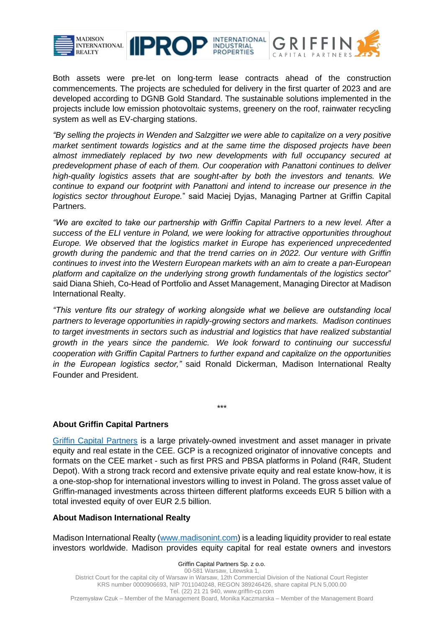



Both assets were pre-let on long-term lease contracts ahead of the construction commencements. The projects are scheduled for delivery in the first quarter of 2023 and are developed according to DGNB Gold Standard. The sustainable solutions implemented in the projects include low emission photovoltaic systems, greenery on the roof, rainwater recycling system as well as EV-charging stations.

*"By selling the projects in Wenden and Salzgitter we were able to capitalize on a very positive market sentiment towards logistics and at the same time the disposed projects have been almost immediately replaced by two new developments with full occupancy secured at predevelopment phase of each of them. Our cooperation with Panattoni continues to deliver high-quality logistics assets that are sought-after by both the investors and tenants. We continue to expand our footprint with Panattoni and intend to increase our presence in the logistics sector throughout Europe.*" said Maciej Dyjas, Managing Partner at Griffin Capital Partners.

*"We are excited to take our partnership with Griffin Capital Partners to a new level. After a success of the ELI venture in Poland, we were looking for attractive opportunities throughout Europe. We observed that the logistics market in Europe has experienced unprecedented growth during the pandemic and that the trend carries on in 2022. Our venture with Griffin continues to invest into the Western European markets with an aim to create a pan-European platform and capitalize on the underlying strong growth fundamentals of the logistics sector*" said Diana Shieh, Co-Head of Portfolio and Asset Management, Managing Director at Madison International Realty.

*"This venture fits our strategy of working alongside what we believe are outstanding local partners to leverage opportunities in rapidly-growing sectors and markets. Madison continues to target investments in sectors such as industrial and logistics that have realized substantial growth in the years since the pandemic. We look forward to continuing our successful cooperation with Griffin Capital Partners to further expand and capitalize on the opportunities in the European logistics sector,"* said Ronald Dickerman, Madison International Realty Founder and President.

\*\*\*

# **About Griffin Capital Partners**

[Griffin Capital Partners](http://www.griffin-cp.com/) is a large privately-owned investment and asset manager in private equity and real estate in the CEE. GCP is a recognized originator of innovative concepts and formats on the CEE market - such as first PRS and PBSA platforms in Poland (R4R, Student Depot). With a strong track record and extensive private equity and real estate know-how, it is a one-stop-shop for international investors willing to invest in Poland. The gross asset value of Griffin-managed investments across thirteen different platforms exceeds EUR 5 billion with a total invested equity of over EUR 2.5 billion.

# **About Madison International Realty**

Madison International Realty [\(www.madisonint.com\)](http://www.madisonint.com/) is a leading liquidity provider to real estate investors worldwide. Madison provides equity capital for real estate owners and investors